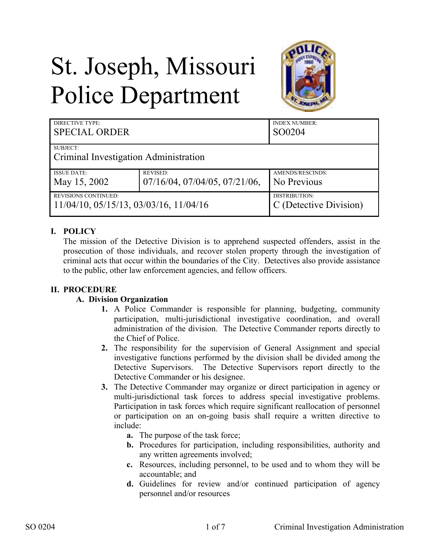# St. Joseph, Missouri Police Department



| DIRECTIVE TYPE:<br><b>SPECIAL ORDER</b>           |                                        | <b>INDEX NUMBER:</b><br>SO0204 |
|---------------------------------------------------|----------------------------------------|--------------------------------|
| <b>SUBJECT:</b>                                   |                                        |                                |
| Criminal Investigation Administration             |                                        |                                |
| <b>ISSUE DATE:</b>                                | <b>REVISED:</b>                        | AMENDS/RESCINDS:               |
| May 15, 2002                                      | $07/16/04$ , $07/04/05$ , $07/21/06$ , | No Previous                    |
| <b>REVISIONS CONTINUED:</b>                       |                                        | DISTRIBUTION:                  |
| $11/04/10$ , $05/15/13$ , $03/03/16$ , $11/04/16$ |                                        | C (Detective Division)         |

# **I. POLICY**

The mission of the Detective Division is to apprehend suspected offenders, assist in the prosecution of those individuals, and recover stolen property through the investigation of criminal acts that occur within the boundaries of the City. Detectives also provide assistance to the public, other law enforcement agencies, and fellow officers.

# **II. PROCEDURE**

### **A. Division Organization**

- **1.** A Police Commander is responsible for planning, budgeting, community participation, multi-jurisdictional investigative coordination, and overall administration of the division. The Detective Commander reports directly to the Chief of Police.
- **2.** The responsibility for the supervision of General Assignment and special investigative functions performed by the division shall be divided among the Detective Supervisors. The Detective Supervisors report directly to the Detective Commander or his designee.
- **3.** The Detective Commander may organize or direct participation in agency or multi-jurisdictional task forces to address special investigative problems. Participation in task forces which require significant reallocation of personnel or participation on an on-going basis shall require a written directive to include:
	- **a.** The purpose of the task force;
	- **b.** Procedures for participation, including responsibilities, authority and any written agreements involved;
	- **c.** Resources, including personnel, to be used and to whom they will be accountable; and
	- **d.** Guidelines for review and/or continued participation of agency personnel and/or resources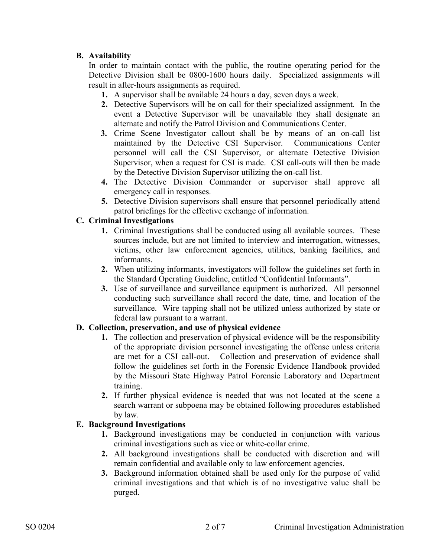## **B. Availability**

In order to maintain contact with the public, the routine operating period for the Detective Division shall be 0800-1600 hours daily. Specialized assignments will result in after-hours assignments as required.

- **1.** A supervisor shall be available 24 hours a day, seven days a week.
- **2.** Detective Supervisors will be on call for their specialized assignment. In the event a Detective Supervisor will be unavailable they shall designate an alternate and notify the Patrol Division and Communications Center.
- **3.** Crime Scene Investigator callout shall be by means of an on-call list maintained by the Detective CSI Supervisor. Communications Center personnel will call the CSI Supervisor, or alternate Detective Division Supervisor, when a request for CSI is made. CSI call-outs will then be made by the Detective Division Supervisor utilizing the on-call list.
- **4.** The Detective Division Commander or supervisor shall approve all emergency call in responses.
- **5.** Detective Division supervisors shall ensure that personnel periodically attend patrol briefings for the effective exchange of information.

## **C. Criminal Investigations**

- **1.** Criminal Investigations shall be conducted using all available sources. These sources include, but are not limited to interview and interrogation, witnesses, victims, other law enforcement agencies, utilities, banking facilities, and informants.
- **2.** When utilizing informants, investigators will follow the guidelines set forth in the Standard Operating Guideline, entitled "Confidential Informants".
- **3.** Use of surveillance and surveillance equipment is authorized. All personnel conducting such surveillance shall record the date, time, and location of the surveillance. Wire tapping shall not be utilized unless authorized by state or federal law pursuant to a warrant.

## **D. Collection, preservation, and use of physical evidence**

- **1.** The collection and preservation of physical evidence will be the responsibility of the appropriate division personnel investigating the offense unless criteria are met for a CSI call-out. Collection and preservation of evidence shall follow the guidelines set forth in the Forensic Evidence Handbook provided by the Missouri State Highway Patrol Forensic Laboratory and Department training.
- **2.** If further physical evidence is needed that was not located at the scene a search warrant or subpoena may be obtained following procedures established by law.

### **E. Background Investigations**

- **1.** Background investigations may be conducted in conjunction with various criminal investigations such as vice or white-collar crime.
- **2.** All background investigations shall be conducted with discretion and will remain confidential and available only to law enforcement agencies.
- **3.** Background information obtained shall be used only for the purpose of valid criminal investigations and that which is of no investigative value shall be purged.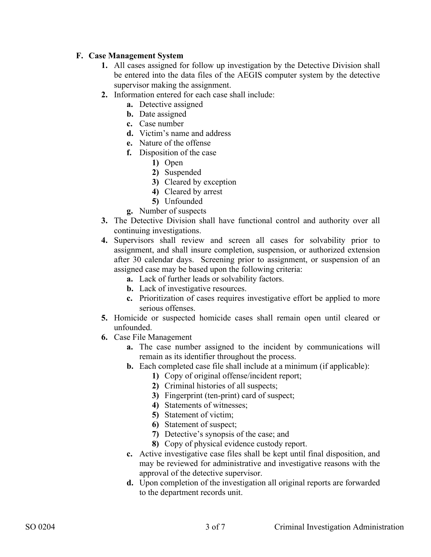## **F. Case Management System**

- **1.** All cases assigned for follow up investigation by the Detective Division shall be entered into the data files of the AEGIS computer system by the detective supervisor making the assignment.
- **2.** Information entered for each case shall include:
	- **a.** Detective assigned
	- **b.** Date assigned
	- **c.** Case number
	- **d.** Victim's name and address
	- **e.** Nature of the offense
	- **f.** Disposition of the case
		- **1)** Open
		- **2)** Suspended
		- **3)** Cleared by exception
		- **4)** Cleared by arrest
		- **5)** Unfounded
	- **g.** Number of suspects
- **3.** The Detective Division shall have functional control and authority over all continuing investigations.
- **4.** Supervisors shall review and screen all cases for solvability prior to assignment, and shall insure completion, suspension, or authorized extension after 30 calendar days. Screening prior to assignment, or suspension of an assigned case may be based upon the following criteria:
	- **a.** Lack of further leads or solvability factors.
	- **b.** Lack of investigative resources.
	- **c.** Prioritization of cases requires investigative effort be applied to more serious offenses.
- **5.** Homicide or suspected homicide cases shall remain open until cleared or unfounded.
- **6.** Case File Management
	- **a.** The case number assigned to the incident by communications will remain as its identifier throughout the process.
	- **b.** Each completed case file shall include at a minimum (if applicable):
		- **1)** Copy of original offense/incident report;
		- **2)** Criminal histories of all suspects;
		- **3)** Fingerprint (ten-print) card of suspect;
		- **4)** Statements of witnesses;
		- **5)** Statement of victim;
		- **6)** Statement of suspect;
		- **7)** Detective's synopsis of the case; and
		- **8)** Copy of physical evidence custody report.
	- **c.** Active investigative case files shall be kept until final disposition, and may be reviewed for administrative and investigative reasons with the approval of the detective supervisor.
	- **d.** Upon completion of the investigation all original reports are forwarded to the department records unit.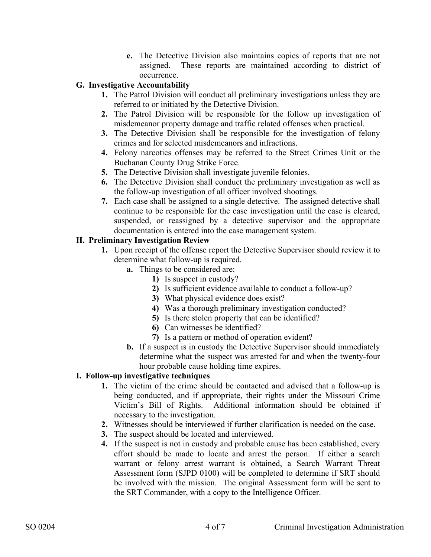**e.** The Detective Division also maintains copies of reports that are not assigned. These reports are maintained according to district of occurrence.

## **G. Investigative Accountability**

- **1.** The Patrol Division will conduct all preliminary investigations unless they are referred to or initiated by the Detective Division.
- **2.** The Patrol Division will be responsible for the follow up investigation of misdemeanor property damage and traffic related offenses when practical.
- **3.** The Detective Division shall be responsible for the investigation of felony crimes and for selected misdemeanors and infractions.
- **4.** Felony narcotics offenses may be referred to the Street Crimes Unit or the Buchanan County Drug Strike Force.
- **5.** The Detective Division shall investigate juvenile felonies.
- **6.** The Detective Division shall conduct the preliminary investigation as well as the follow-up investigation of all officer involved shootings.
- **7.** Each case shall be assigned to a single detective. The assigned detective shall continue to be responsible for the case investigation until the case is cleared, suspended, or reassigned by a detective supervisor and the appropriate documentation is entered into the case management system.

## **H. Preliminary Investigation Review**

- **1.** Upon receipt of the offense report the Detective Supervisor should review it to determine what follow-up is required.
	- **a.** Things to be considered are:
		- **1)** Is suspect in custody?
		- **2)** Is sufficient evidence available to conduct a follow-up?
		- **3)** What physical evidence does exist?
		- **4)** Was a thorough preliminary investigation conducted?
		- **5)** Is there stolen property that can be identified?
		- **6)** Can witnesses be identified?
		- **7)** Is a pattern or method of operation evident?
	- **b.** If a suspect is in custody the Detective Supervisor should immediately determine what the suspect was arrested for and when the twenty-four hour probable cause holding time expires.

### **I. Follow-up investigative techniques**

- **1.** The victim of the crime should be contacted and advised that a follow-up is being conducted, and if appropriate, their rights under the Missouri Crime Victim's Bill of Rights. Additional information should be obtained if necessary to the investigation.
- **2.** Witnesses should be interviewed if further clarification is needed on the case.
- **3.** The suspect should be located and interviewed.
- **4.** If the suspect is not in custody and probable cause has been established, every effort should be made to locate and arrest the person. If either a search warrant or felony arrest warrant is obtained, a Search Warrant Threat Assessment form (SJPD 0100) will be completed to determine if SRT should be involved with the mission. The original Assessment form will be sent to the SRT Commander, with a copy to the Intelligence Officer.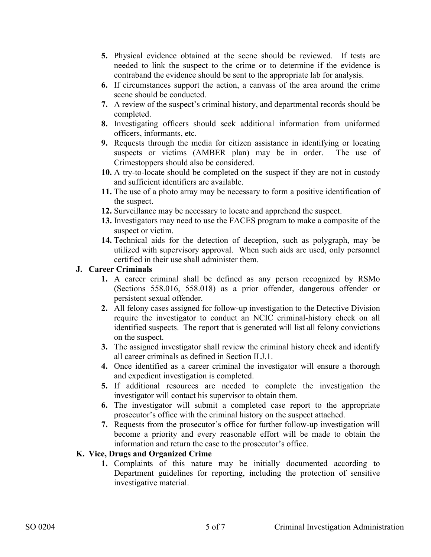- **5.** Physical evidence obtained at the scene should be reviewed. If tests are needed to link the suspect to the crime or to determine if the evidence is contraband the evidence should be sent to the appropriate lab for analysis.
- **6.** If circumstances support the action, a canvass of the area around the crime scene should be conducted.
- **7.** A review of the suspect's criminal history, and departmental records should be completed.
- **8.** Investigating officers should seek additional information from uniformed officers, informants, etc.
- **9.** Requests through the media for citizen assistance in identifying or locating suspects or victims (AMBER plan) may be in order. The use of Crimestoppers should also be considered.
- **10.** A try-to-locate should be completed on the suspect if they are not in custody and sufficient identifiers are available.
- **11.** The use of a photo array may be necessary to form a positive identification of the suspect.
- **12.** Surveillance may be necessary to locate and apprehend the suspect.
- **13.** Investigators may need to use the FACES program to make a composite of the suspect or victim.
- **14.** Technical aids for the detection of deception, such as polygraph, may be utilized with supervisory approval. When such aids are used, only personnel certified in their use shall administer them.

#### **J. Career Criminals**

- **1.** A career criminal shall be defined as any person recognized by RSMo (Sections 558.016, 558.018) as a prior offender, dangerous offender or persistent sexual offender.
- **2.** All felony cases assigned for follow-up investigation to the Detective Division require the investigator to conduct an NCIC criminal-history check on all identified suspects. The report that is generated will list all felony convictions on the suspect.
- **3.** The assigned investigator shall review the criminal history check and identify all career criminals as defined in Section II.J.1.
- **4.** Once identified as a career criminal the investigator will ensure a thorough and expedient investigation is completed.
- **5.** If additional resources are needed to complete the investigation the investigator will contact his supervisor to obtain them.
- **6.** The investigator will submit a completed case report to the appropriate prosecutor's office with the criminal history on the suspect attached.
- **7.** Requests from the prosecutor's office for further follow-up investigation will become a priority and every reasonable effort will be made to obtain the information and return the case to the prosecutor's office.

### **K. Vice, Drugs and Organized Crime**

**1.** Complaints of this nature may be initially documented according to Department guidelines for reporting, including the protection of sensitive investigative material.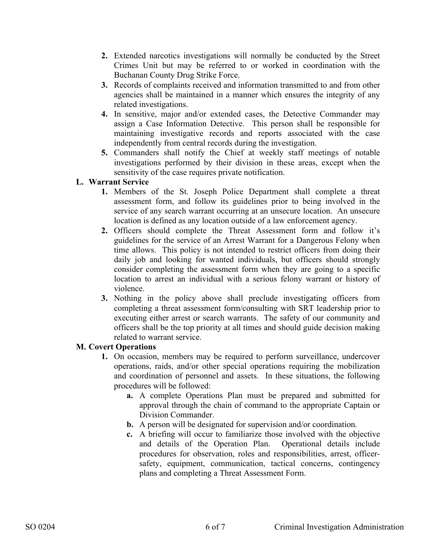- **2.** Extended narcotics investigations will normally be conducted by the Street Crimes Unit but may be referred to or worked in coordination with the Buchanan County Drug Strike Force.
- **3.** Records of complaints received and information transmitted to and from other agencies shall be maintained in a manner which ensures the integrity of any related investigations.
- **4.** In sensitive, major and/or extended cases, the Detective Commander may assign a Case Information Detective. This person shall be responsible for maintaining investigative records and reports associated with the case independently from central records during the investigation.
- **5.** Commanders shall notify the Chief at weekly staff meetings of notable investigations performed by their division in these areas, except when the sensitivity of the case requires private notification.

## **L. Warrant Service**

- **1.** Members of the St. Joseph Police Department shall complete a threat assessment form, and follow its guidelines prior to being involved in the service of any search warrant occurring at an unsecure location. An unsecure location is defined as any location outside of a law enforcement agency.
- **2.** Officers should complete the Threat Assessment form and follow it's guidelines for the service of an Arrest Warrant for a Dangerous Felony when time allows. This policy is not intended to restrict officers from doing their daily job and looking for wanted individuals, but officers should strongly consider completing the assessment form when they are going to a specific location to arrest an individual with a serious felony warrant or history of violence.
- **3.** Nothing in the policy above shall preclude investigating officers from completing a threat assessment form/consulting with SRT leadership prior to executing either arrest or search warrants. The safety of our community and officers shall be the top priority at all times and should guide decision making related to warrant service.

### **M. Covert Operations**

- **1.** On occasion, members may be required to perform surveillance, undercover operations, raids, and/or other special operations requiring the mobilization and coordination of personnel and assets. In these situations, the following procedures will be followed:
	- **a.** A complete Operations Plan must be prepared and submitted for approval through the chain of command to the appropriate Captain or Division Commander.
	- **b.** A person will be designated for supervision and/or coordination.
	- **c.** A briefing will occur to familiarize those involved with the objective and details of the Operation Plan. Operational details include procedures for observation, roles and responsibilities, arrest, officersafety, equipment, communication, tactical concerns, contingency plans and completing a Threat Assessment Form.